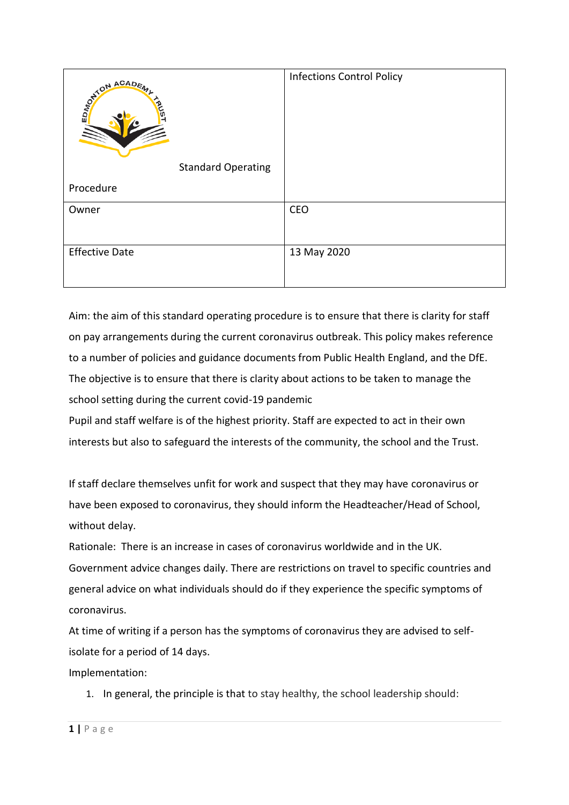| ON ACADEMY                | <b>Infections Control Policy</b> |
|---------------------------|----------------------------------|
| <b>Standard Operating</b> |                                  |
| Procedure                 |                                  |
| Owner                     | CEO                              |
| <b>Effective Date</b>     | 13 May 2020                      |

Aim: the aim of this standard operating procedure is to ensure that there is clarity for staff on pay arrangements during the current coronavirus outbreak. This policy makes reference to a number of policies and guidance documents from Public Health England, and the DfE. The objective is to ensure that there is clarity about actions to be taken to manage the school setting during the current covid-19 pandemic

Pupil and staff welfare is of the highest priority. Staff are expected to act in their own interests but also to safeguard the interests of the community, the school and the Trust.

If staff declare themselves unfit for work and suspect that they may have coronavirus or have been exposed to coronavirus, they should inform the Headteacher/Head of School, without delay.

Rationale: There is an increase in cases of coronavirus worldwide and in the UK. Government advice changes daily. There are restrictions on travel to specific countries and general advice on what individuals should do if they experience the specific symptoms of coronavirus.

At time of writing if a person has the symptoms of coronavirus they are advised to selfisolate for a period of 14 days.

Implementation:

1. In general, the principle is that to stay healthy, the school leadership should: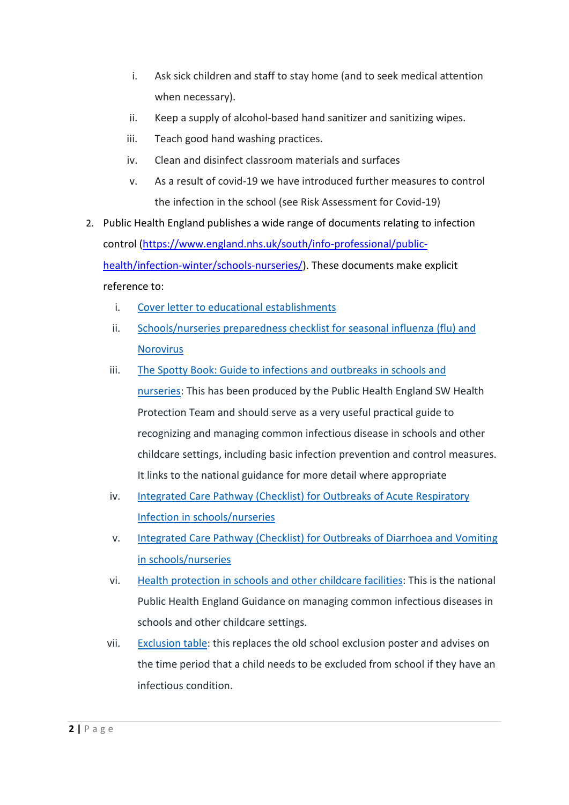- i. Ask sick children and staff to stay home (and to seek medical attention when necessary).
- ii. Keep a supply of alcohol-based hand sanitizer and sanitizing wipes.
- iii. Teach good hand washing practices.
- iv. Clean and disinfect classroom materials and surfaces
- v. As a result of covid-19 we have introduced further measures to control the infection in the school (see Risk Assessment for Covid-19)
- 2. Public Health England publishes a wide range of documents relating to infection control [\(https://www.england.nhs.uk/south/info-professional/public](https://www.england.nhs.uk/south/info-professional/public-health/infection-winter/schools-nurseries/)[health/infection-winter/schools-nurseries/\)](https://www.england.nhs.uk/south/info-professional/public-health/infection-winter/schools-nurseries/). These documents make explicit reference to:
	- i. Cover letter to educational [establishments](https://www.england.nhs.uk/south/wp-content/uploads/sites/6/2019/10/phe-sw-cover-letter-to-educational-establishments-winter-readiness-19-20-.pdf)
	- ii. [Schools/nurseries](https://www.england.nhs.uk/south/wp-content/uploads/sites/6/2019/09/phe-sw-schools-and-nurseries-planning-checklist-for-influenza-and-norovirus-season.pdf) preparedness checklist for seasonal influenza (flu) and [Norovirus](https://www.england.nhs.uk/south/wp-content/uploads/sites/6/2019/09/phe-sw-schools-and-nurseries-planning-checklist-for-influenza-and-norovirus-season.pdf)
	- iii. The Spotty Book: Guide to infections and [outbreaks](https://www.england.nhs.uk/south/wp-content/uploads/sites/6/2019/09/spotty-book-2019-.pdf) in schools and [nurseries:](https://www.england.nhs.uk/south/wp-content/uploads/sites/6/2019/09/spotty-book-2019-.pdf) This has been produced by the Public Health England SW Health Protection Team and should serve as a very useful practical guide to recognizing and managing common infectious disease in schools and other childcare settings, including basic infection prevention and control measures. It links to the national guidance for more detail where appropriate
	- iv. Integrated Care Pathway (Checklist) for Outbreaks of Acute [Respiratory](https://www.england.nhs.uk/south/wp-content/uploads/sites/6/2019/10/icp-acute-resp-ob-schools-oct19.doc) Infection in [schools/nurseries](https://www.england.nhs.uk/south/wp-content/uploads/sites/6/2019/10/icp-acute-resp-ob-schools-oct19.doc)
	- v. [Integrated](https://www.england.nhs.uk/south/wp-content/uploads/sites/6/2019/10/schools-and-nurseries-dv-icp-feb-2019.doc) Care Pathway (Checklist) for Outbreaks of Diarrhoea and Vomiting in [schools/nurseries](https://www.england.nhs.uk/south/wp-content/uploads/sites/6/2019/10/schools-and-nurseries-dv-icp-feb-2019.doc)
	- vi. Health [protection](https://www.gov.uk/government/publications/health-protection-in-schools-and-other-childcare-facilities) in schools and other childcare facilities: This is the national Public Health England Guidance on managing common infectious diseases in schools and other childcare settings.
	- vii. [Exclusion](https://assets.publishing.service.gov.uk/government/uploads/system/uploads/attachment_data/file/691091/Exclusion_table.pdf) table: this replaces the old school exclusion poster and advises on the time period that a child needs to be excluded from school if they have an infectious condition.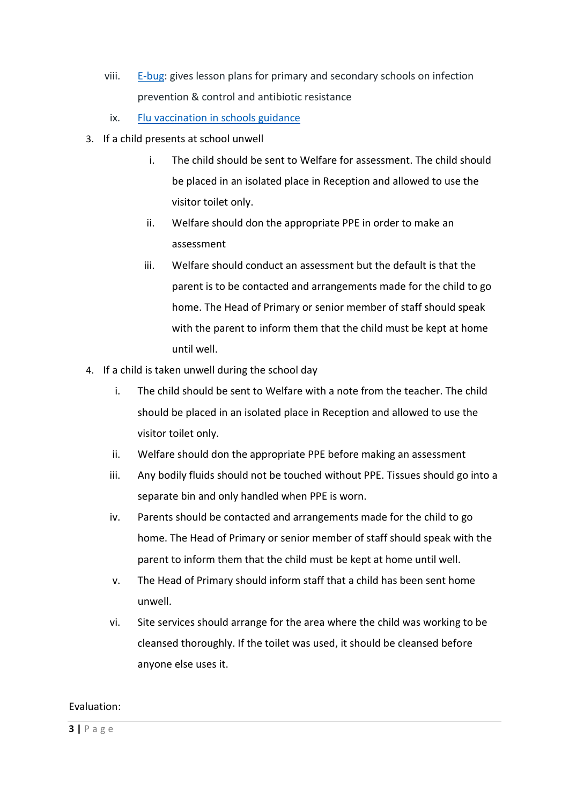- viii. [E-bug:](http://www.e-bug.eu/) gives lesson plans for primary and secondary schools on infection prevention & control and antibiotic resistance
	- ix. Flu [vaccination](https://www.gov.uk/government/publications/flu-vaccination-in-schools) in schools guidance
- 3. If a child presents at school unwell
	- i. The child should be sent to Welfare for assessment. The child should be placed in an isolated place in Reception and allowed to use the visitor toilet only.
	- ii. Welfare should don the appropriate PPE in order to make an assessment
	- iii. Welfare should conduct an assessment but the default is that the parent is to be contacted and arrangements made for the child to go home. The Head of Primary or senior member of staff should speak with the parent to inform them that the child must be kept at home until well.
- 4. If a child is taken unwell during the school day
	- i. The child should be sent to Welfare with a note from the teacher. The child should be placed in an isolated place in Reception and allowed to use the visitor toilet only.
	- ii. Welfare should don the appropriate PPE before making an assessment
	- iii. Any bodily fluids should not be touched without PPE. Tissues should go into a separate bin and only handled when PPE is worn.
	- iv. Parents should be contacted and arrangements made for the child to go home. The Head of Primary or senior member of staff should speak with the parent to inform them that the child must be kept at home until well.
	- v. The Head of Primary should inform staff that a child has been sent home unwell.
	- vi. Site services should arrange for the area where the child was working to be cleansed thoroughly. If the toilet was used, it should be cleansed before anyone else uses it.

## Evaluation: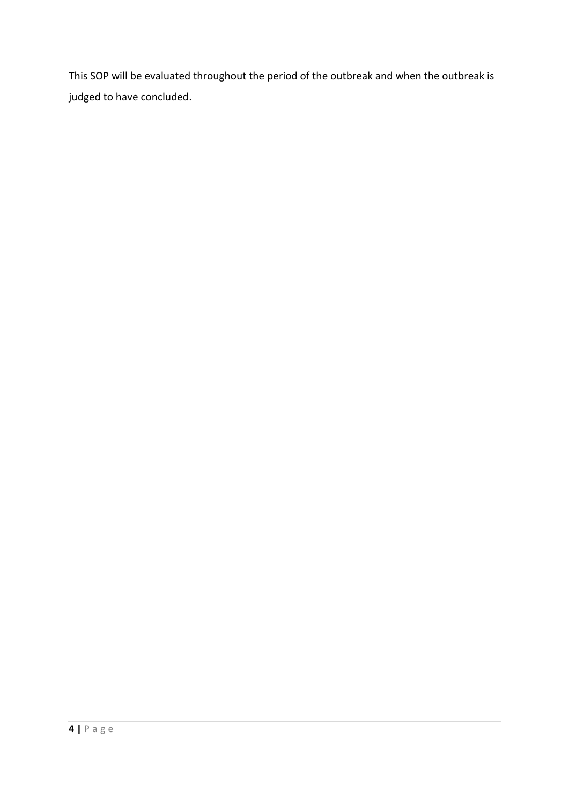This SOP will be evaluated throughout the period of the outbreak and when the outbreak is judged to have concluded.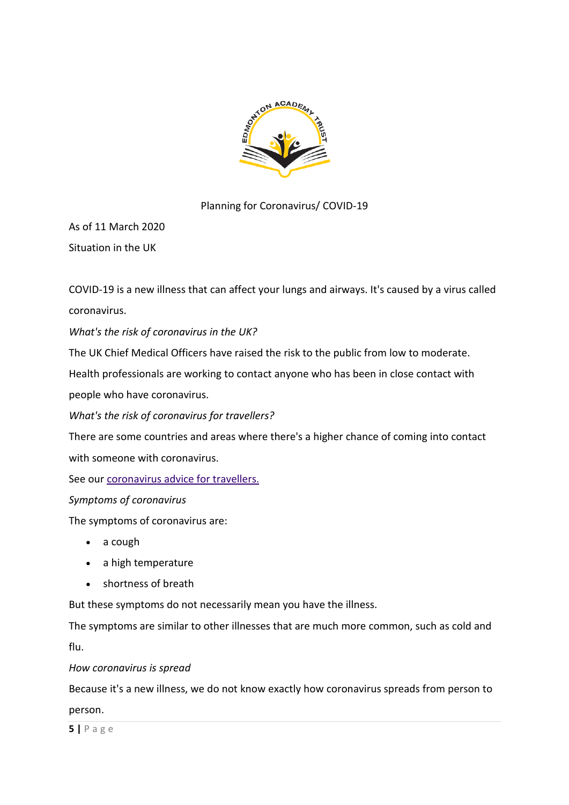

## Planning for Coronavirus/ COVID-19

As of 11 March 2020 Situation in the UK

COVID-19 is a new illness that can affect your lungs and airways. It's caused by a virus called coronavirus.

*What's the risk of coronavirus in the UK?*

The UK Chief Medical Officers have raised the risk to the public from low to moderate.

Health professionals are working to contact anyone who has been in close contact with people who have coronavirus.

*What's the risk of coronavirus for travellers?*

There are some countries and areas where there's a higher chance of coming into contact with someone with coronavirus.

See our [coronavirus advice for travellers.](https://www.nhs.uk/conditions/coronavirus-covid-19/advice-for-travellers/)

*Symptoms of coronavirus*

The symptoms of coronavirus are:

- a cough
- a high temperature
- shortness of breath

But these symptoms do not necessarily mean you have the illness.

The symptoms are similar to other illnesses that are much more common, such as cold and

flu.

*How coronavirus is spread*

Because it's a new illness, we do not know exactly how coronavirus spreads from person to

person.

**5 |** P a g e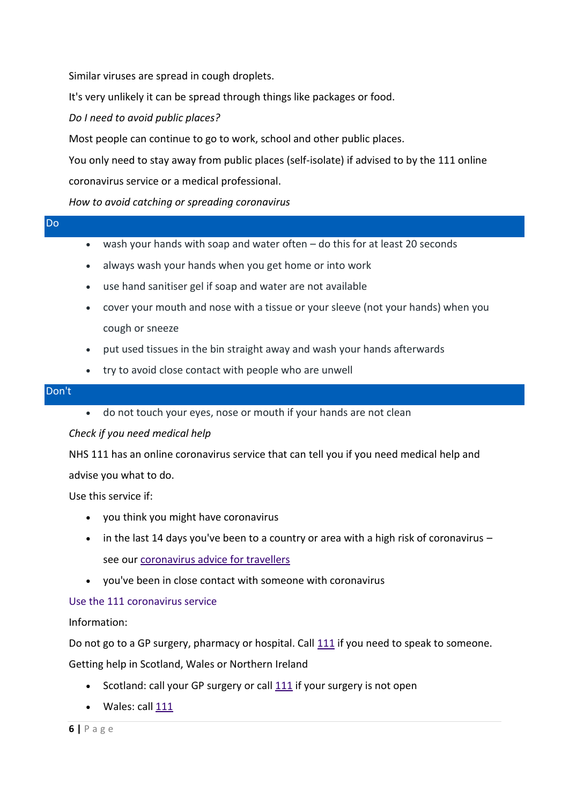Similar viruses are spread in cough droplets.

It's very unlikely it can be spread through things like packages or food.

*Do I need to avoid public places?*

Most people can continue to go to work, school and other public places.

You only need to stay away from public places (self-isolate) if advised to by the 111 online coronavirus service or a medical professional.

*How to avoid catching or spreading coronavirus*

| $\mathcal{L}^{\text{max}}_{\text{max}}$ and $\mathcal{L}^{\text{max}}_{\text{max}}$ and $\mathcal{L}^{\text{max}}_{\text{max}}$<br>Do. |  |  |  |
|----------------------------------------------------------------------------------------------------------------------------------------|--|--|--|
|                                                                                                                                        |  |  |  |

- wash your hands with soap and water often do this for at least 20 seconds
- always wash your hands when you get home or into work
- use hand sanitiser gel if soap and water are not available
- cover your mouth and nose with a tissue or your sleeve (not your hands) when you cough or sneeze
- put used tissues in the bin straight away and wash your hands afterwards
- try to avoid close contact with people who are unwell

#### Don't

do not touch your eyes, nose or mouth if your hands are not clean

*Check if you need medical help*

NHS 111 has an online coronavirus service that can tell you if you need medical help and advise you what to do.

Use this service if:

- you think you might have coronavirus
- $\bullet$  in the last 14 days you've been to a country or area with a high risk of coronavirus  $$ see our [coronavirus advice for travellers](https://www.nhs.uk/conditions/coronavirus-covid-19/advice-for-travellers/)
- you've been in close contact with someone with coronavirus

#### [Use the 111 coronavirus service](https://111.nhs.uk/covid-19)

Information:

Do not go to a GP surgery, pharmacy or hospital. Call [111](tel:111) if you need to speak to someone.

Getting help in Scotland, Wales or Northern Ireland

- Scotland: call your GP surgery or call [111](tel:111) if your surgery is not open
- Wales: call [111](tel:111)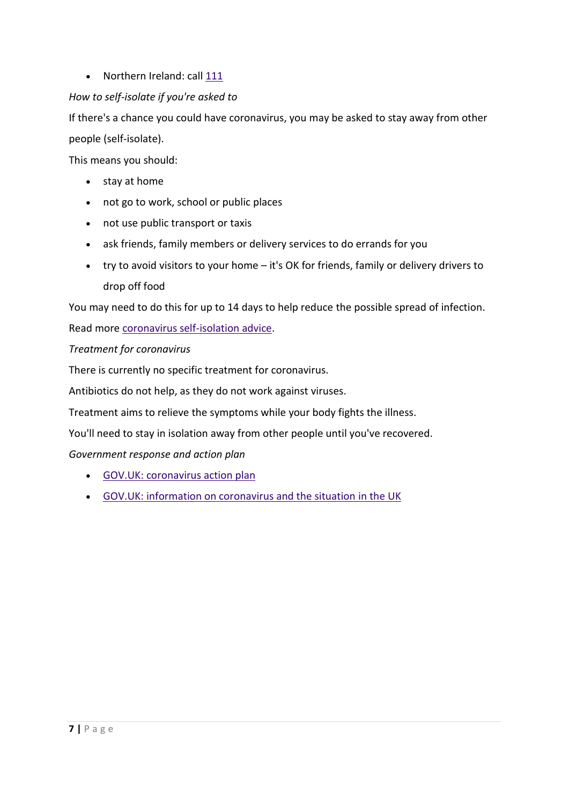• Northern Ireland: call [111](tel:111)

# *How to self-isolate if you're asked to*

If there's a chance you could have coronavirus, you may be asked to stay away from other people (self-isolate).

This means you should:

- stay at home
- not go to work, school or public places
- not use public transport or taxis
- ask friends, family members or delivery services to do errands for you
- try to avoid visitors to your home it's OK for friends, family or delivery drivers to drop off food

You may need to do this for up to 14 days to help reduce the possible spread of infection.

Read more [coronavirus self-isolation advice.](https://www.nhs.uk/conditions/coronavirus-covid-19/self-isolation-advice/)

*Treatment for coronavirus*

There is currently no specific treatment for coronavirus.

Antibiotics do not help, as they do not work against viruses.

Treatment aims to relieve the symptoms while your body fights the illness.

You'll need to stay in isolation away from other people until you've recovered.

*Government response and action plan*

- [GOV.UK: coronavirus action plan](https://www.gov.uk/government/publications/coronavirus-action-plan)
- [GOV.UK: information on coronavirus and the situation in the UK](https://www.gov.uk/guidance/wuhan-novel-coronavirus-information-for-the-public)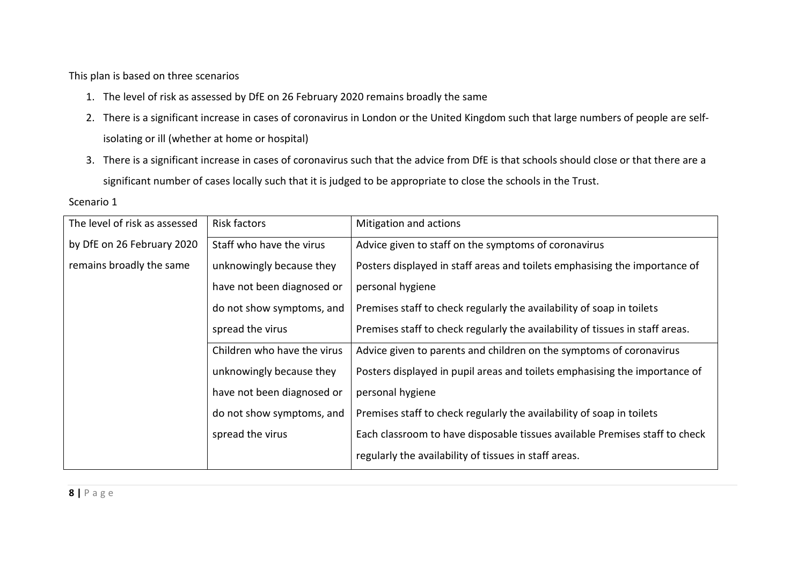This plan is based on three scenarios

- 1. The level of risk as assessed by DfE on 26 February 2020 remains broadly the same
- 2. There is a significant increase in cases of coronavirus in London or the United Kingdom such that large numbers of people are selfisolating or ill (whether at home or hospital)
- 3. There is a significant increase in cases of coronavirus such that the advice from DfE is that schools should close or that there are a significant number of cases locally such that it is judged to be appropriate to close the schools in the Trust.

| The level of risk as assessed | <b>Risk factors</b>         | Mitigation and actions                                                        |
|-------------------------------|-----------------------------|-------------------------------------------------------------------------------|
| by DfE on 26 February 2020    | Staff who have the virus    | Advice given to staff on the symptoms of coronavirus                          |
| remains broadly the same      | unknowingly because they    | Posters displayed in staff areas and toilets emphasising the importance of    |
|                               | have not been diagnosed or  | personal hygiene                                                              |
|                               | do not show symptoms, and   | Premises staff to check regularly the availability of soap in toilets         |
|                               | spread the virus            | Premises staff to check regularly the availability of tissues in staff areas. |
|                               | Children who have the virus | Advice given to parents and children on the symptoms of coronavirus           |
|                               | unknowingly because they    | Posters displayed in pupil areas and toilets emphasising the importance of    |
|                               | have not been diagnosed or  | personal hygiene                                                              |
|                               | do not show symptoms, and   | Premises staff to check regularly the availability of soap in toilets         |
|                               | spread the virus            | Each classroom to have disposable tissues available Premises staff to check   |
|                               |                             | regularly the availability of tissues in staff areas.                         |

Scenario 1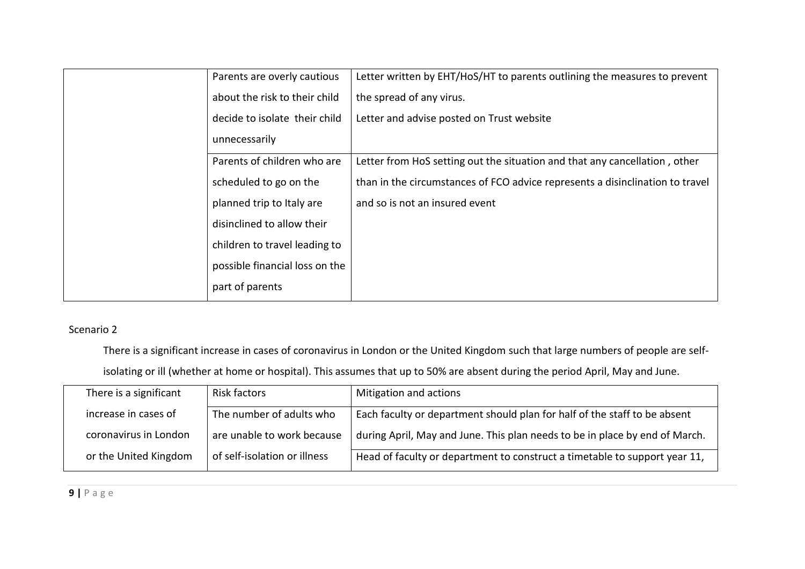| Parents are overly cautious    | Letter written by EHT/HoS/HT to parents outlining the measures to prevent     |
|--------------------------------|-------------------------------------------------------------------------------|
| about the risk to their child  | the spread of any virus.                                                      |
| decide to isolate their child  | Letter and advise posted on Trust website                                     |
| unnecessarily                  |                                                                               |
| Parents of children who are    | Letter from HoS setting out the situation and that any cancellation, other    |
| scheduled to go on the         | than in the circumstances of FCO advice represents a disinclination to travel |
| planned trip to Italy are      | and so is not an insured event                                                |
| disinclined to allow their     |                                                                               |
| children to travel leading to  |                                                                               |
| possible financial loss on the |                                                                               |
| part of parents                |                                                                               |

# Scenario 2

There is a significant increase in cases of coronavirus in London or the United Kingdom such that large numbers of people are self-

isolating or ill (whether at home or hospital). This assumes that up to 50% are absent during the period April, May and June.

| There is a significant | Risk factors                 | Mitigation and actions                                                      |
|------------------------|------------------------------|-----------------------------------------------------------------------------|
| increase in cases of   | The number of adults who     | Each faculty or department should plan for half of the staff to be absent   |
| coronavirus in London  | are unable to work because   | during April, May and June. This plan needs to be in place by end of March. |
| or the United Kingdom  | of self-isolation or illness | Head of faculty or department to construct a timetable to support year 11,  |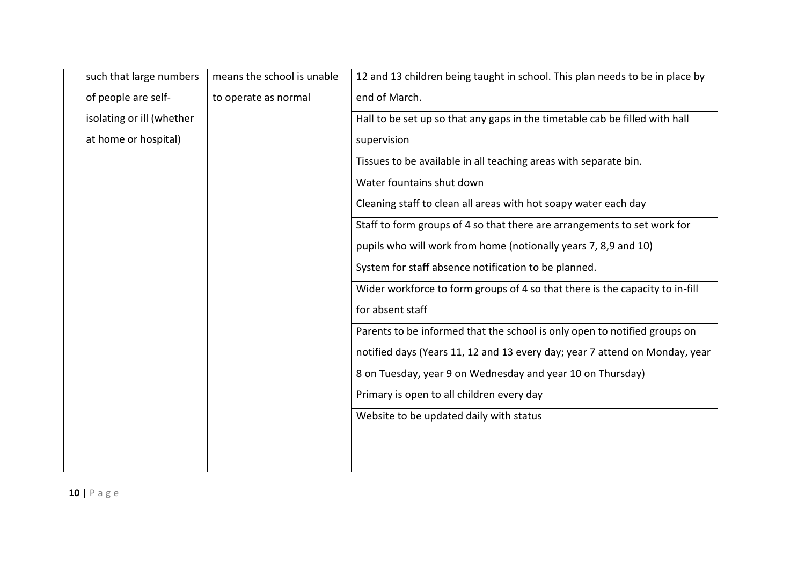| means the school is unable | 12 and 13 children being taught in school. This plan needs to be in place by |
|----------------------------|------------------------------------------------------------------------------|
| to operate as normal       | end of March.                                                                |
|                            | Hall to be set up so that any gaps in the timetable cab be filled with hall  |
|                            | supervision                                                                  |
|                            | Tissues to be available in all teaching areas with separate bin.             |
|                            | Water fountains shut down                                                    |
|                            | Cleaning staff to clean all areas with hot soapy water each day              |
|                            | Staff to form groups of 4 so that there are arrangements to set work for     |
|                            | pupils who will work from home (notionally years 7, 8,9 and 10)              |
|                            | System for staff absence notification to be planned.                         |
|                            | Wider workforce to form groups of 4 so that there is the capacity to in-fill |
|                            | for absent staff                                                             |
|                            | Parents to be informed that the school is only open to notified groups on    |
|                            | notified days (Years 11, 12 and 13 every day; year 7 attend on Monday, year  |
|                            | 8 on Tuesday, year 9 on Wednesday and year 10 on Thursday)                   |
|                            | Primary is open to all children every day                                    |
|                            | Website to be updated daily with status                                      |
|                            |                                                                              |
|                            |                                                                              |
|                            |                                                                              |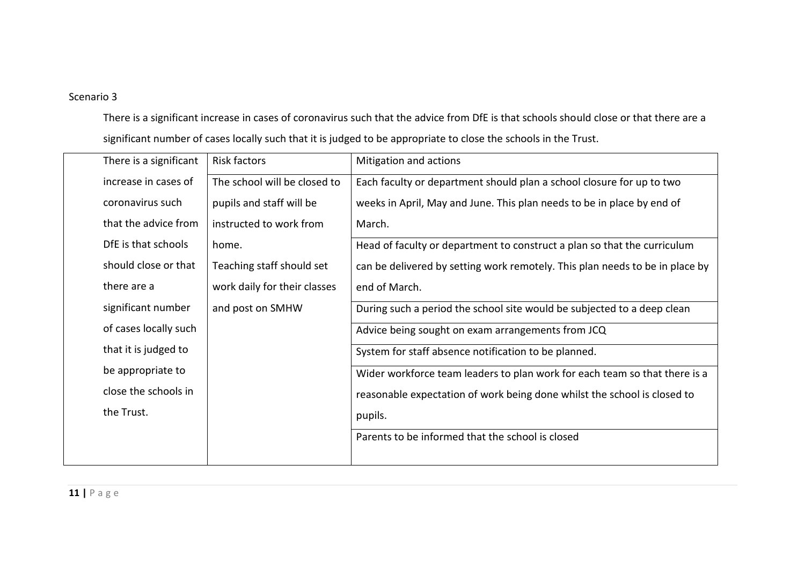### Scenario 3

There is a significant increase in cases of coronavirus such that the advice from DfE is that schools should close or that there are a significant number of cases locally such that it is judged to be appropriate to close the schools in the Trust.

| There is a significant | <b>Risk factors</b>          | Mitigation and actions                                                       |
|------------------------|------------------------------|------------------------------------------------------------------------------|
| increase in cases of   | The school will be closed to | Each faculty or department should plan a school closure for up to two        |
| coronavirus such       | pupils and staff will be     | weeks in April, May and June. This plan needs to be in place by end of       |
| that the advice from   | instructed to work from      | March.                                                                       |
| DfE is that schools    | home.                        | Head of faculty or department to construct a plan so that the curriculum     |
| should close or that   | Teaching staff should set    | can be delivered by setting work remotely. This plan needs to be in place by |
| there are a            | work daily for their classes | end of March.                                                                |
| significant number     | and post on SMHW             | During such a period the school site would be subjected to a deep clean      |
| of cases locally such  |                              | Advice being sought on exam arrangements from JCQ                            |
| that it is judged to   |                              | System for staff absence notification to be planned.                         |
| be appropriate to      |                              | Wider workforce team leaders to plan work for each team so that there is a   |
| close the schools in   |                              | reasonable expectation of work being done whilst the school is closed to     |
| the Trust.             |                              | pupils.                                                                      |
|                        |                              | Parents to be informed that the school is closed                             |
|                        |                              |                                                                              |